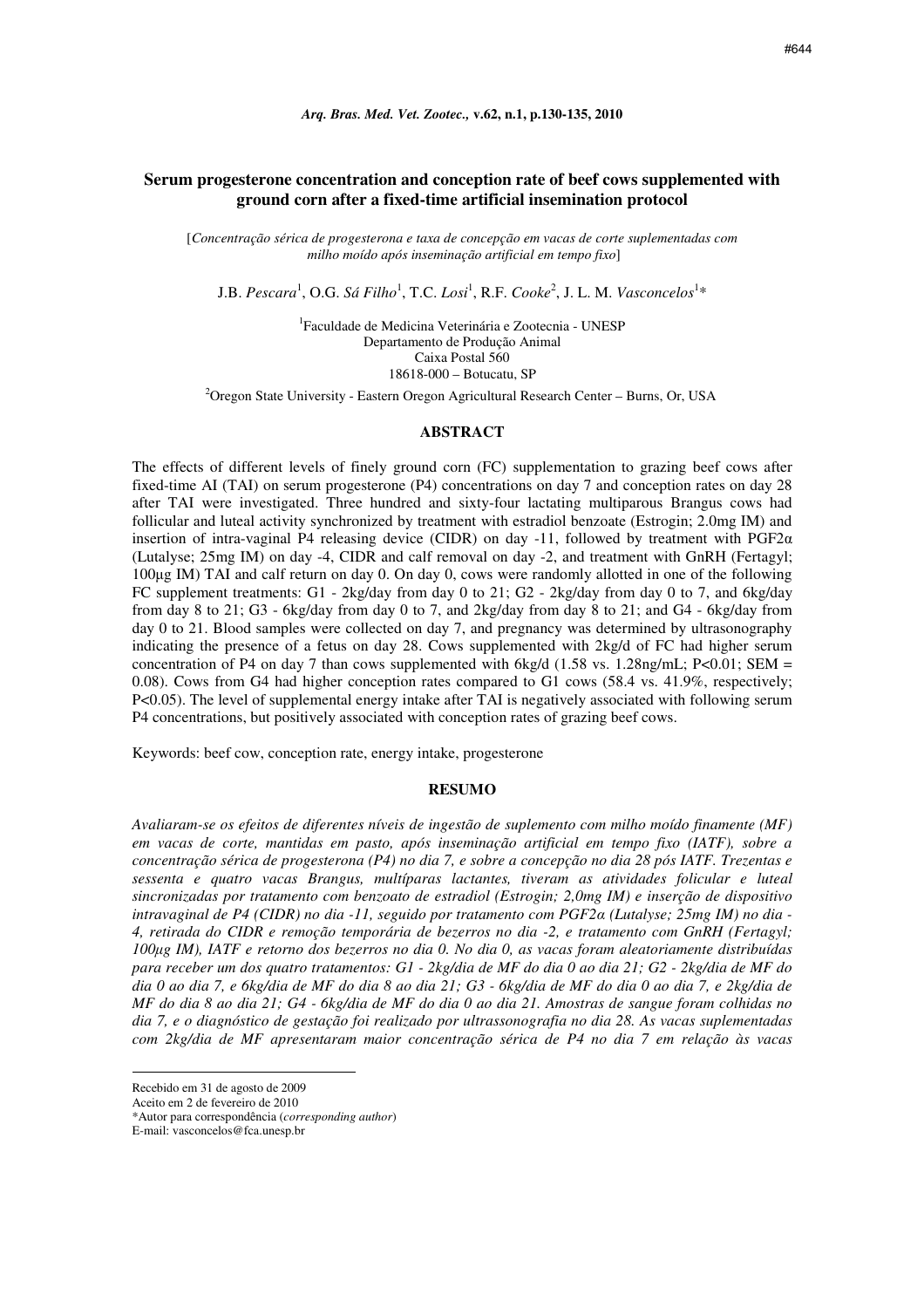# **Serum progesterone concentration and conception rate of beef cows supplemented with ground corn after a fixed-time artificial insemination protocol**

[*Concentração sérica de progesterona e taxa de concepção em vacas de corte suplementadas com milho moído após inseminação artificial em tempo fixo*]

J.B. Pescara<sup>1</sup>, O.G. Sá Filho<sup>1</sup>, T.C. Losi<sup>1</sup>, R.F. Cooke<sup>2</sup>, J. L. M. *Vasconcelos*<sup>1</sup>\*

1 Faculdade de Medicina Veterinária e Zootecnia - UNESP Departamento de Produção Animal Caixa Postal 560 18618-000 – Botucatu, SP

<sup>2</sup>Oregon State University - Eastern Oregon Agricultural Research Center – Burns, Or, USA

#### **ABSTRACT**

The effects of different levels of finely ground corn (FC) supplementation to grazing beef cows after fixed-time AI (TAI) on serum progesterone (P4) concentrations on day 7 and conception rates on day 28 after TAI were investigated. Three hundred and sixty-four lactating multiparous Brangus cows had follicular and luteal activity synchronized by treatment with estradiol benzoate (Estrogin; 2.0mg IM) and insertion of intra-vaginal P4 releasing device (CIDR) on day -11, followed by treatment with PGF2 $\alpha$ (Lutalyse; 25mg IM) on day -4, CIDR and calf removal on day -2, and treatment with GnRH (Fertagyl; 100µg IM) TAI and calf return on day 0. On day 0, cows were randomly allotted in one of the following FC supplement treatments: G1 - 2kg/day from day 0 to 21; G2 - 2kg/day from day 0 to 7, and 6kg/day from day 8 to 21; G3 - 6kg/day from day 0 to 7, and 2kg/day from day 8 to 21; and G4 - 6kg/day from day 0 to 21. Blood samples were collected on day 7, and pregnancy was determined by ultrasonography indicating the presence of a fetus on day 28. Cows supplemented with 2kg/d of FC had higher serum concentration of P4 on day 7 than cows supplemented with 6kg/d (1.58 vs. 1.28ng/mL; P<0.01; SEM = 0.08). Cows from G4 had higher conception rates compared to G1 cows (58.4 vs. 41.9%, respectively; P<0.05). The level of supplemental energy intake after TAI is negatively associated with following serum P4 concentrations, but positively associated with conception rates of grazing beef cows.

Keywords: beef cow, conception rate, energy intake, progesterone

#### **RESUMO**

*Avaliaram-se os efeitos de diferentes níveis de ingestão de suplemento com milho moído finamente (MF) em vacas de corte, mantidas em pasto, após inseminação artificial em tempo fixo (IATF), sobre a concentração sérica de progesterona (P4) no dia 7, e sobre a concepção no dia 28 pós IATF. Trezentas e sessenta e quatro vacas Brangus, multíparas lactantes, tiveram as atividades folicular e luteal sincronizadas por tratamento com benzoato de estradiol (Estrogin; 2,0mg IM) e inserção de dispositivo intravaginal de P4 (CIDR) no dia -11, seguido por tratamento com PGF2*α *(Lutalyse; 25mg IM) no dia - 4, retirada do CIDR e remoção temporária de bezerros no dia -2, e tratamento com GnRH (Fertagyl; 100*µ*g IM), IATF e retorno dos bezerros no dia 0. No dia 0, as vacas foram aleatoriamente distribuídas para receber um dos quatro tratamentos: G1 - 2kg/dia de MF do dia 0 ao dia 21; G2 - 2kg/dia de MF do dia 0 ao dia 7, e 6kg/dia de MF do dia 8 ao dia 21; G3 - 6kg/dia de MF do dia 0 ao dia 7, e 2kg/dia de MF do dia 8 ao dia 21; G4 - 6kg/dia de MF do dia 0 ao dia 21. Amostras de sangue foram colhidas no dia 7, e o diagnóstico de gestação foi realizado por ultrassonografia no dia 28. As vacas suplementadas com 2kg/dia de MF apresentaram maior concentração sérica de P4 no dia 7 em relação às vacas* 

 $\overline{a}$ 

Recebido em 31 de agosto de 2009

Aceito em 2 de fevereiro de 2010

<sup>\*</sup>Autor para correspondência (*corresponding author*)

E-mail: vasconcelos@fca.unesp.br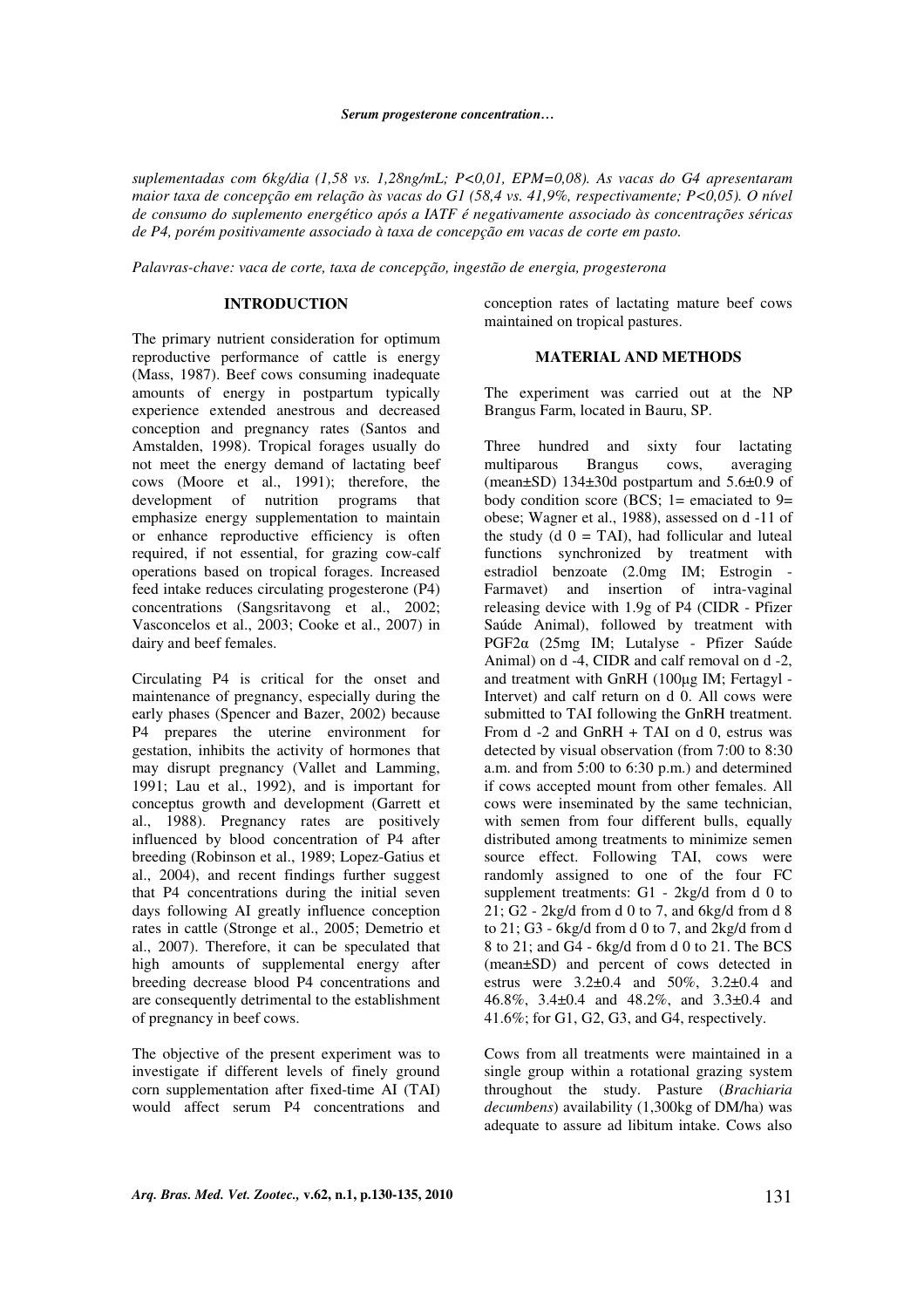#### *Serum progesterone concentration…*

*suplementadas com 6kg/dia (1,58 vs. 1,28ng/mL; P<0,01, EPM=0,08). As vacas do G4 apresentaram maior taxa de concepção em relação às vacas do G1 (58,4 vs. 41,9%, respectivamente; P<0,05). O nível de consumo do suplemento energético após a IATF é negativamente associado às concentrações séricas de P4, porém positivamente associado à taxa de concepção em vacas de corte em pasto.* 

*Palavras-chave: vaca de corte, taxa de concepção, ingestão de energia, progesterona*

## **INTRODUCTION**

The primary nutrient consideration for optimum reproductive performance of cattle is energy (Mass, 1987). Beef cows consuming inadequate amounts of energy in postpartum typically experience extended anestrous and decreased conception and pregnancy rates (Santos and Amstalden, 1998). Tropical forages usually do not meet the energy demand of lactating beef cows (Moore et al., 1991); therefore, the development of nutrition programs that emphasize energy supplementation to maintain or enhance reproductive efficiency is often required, if not essential, for grazing cow-calf operations based on tropical forages. Increased feed intake reduces circulating progesterone (P4) concentrations (Sangsritavong et al., 2002; Vasconcelos et al., 2003; Cooke et al., 2007) in dairy and beef females.

Circulating P4 is critical for the onset and maintenance of pregnancy, especially during the early phases (Spencer and Bazer, 2002) because P4 prepares the uterine environment for gestation, inhibits the activity of hormones that may disrupt pregnancy (Vallet and Lamming, 1991; Lau et al., 1992), and is important for conceptus growth and development (Garrett et al., 1988). Pregnancy rates are positively influenced by blood concentration of P4 after breeding (Robinson et al., 1989; Lopez-Gatius et al., 2004), and recent findings further suggest that P4 concentrations during the initial seven days following AI greatly influence conception rates in cattle (Stronge et al., 2005; Demetrio et al., 2007). Therefore, it can be speculated that high amounts of supplemental energy after breeding decrease blood P4 concentrations and are consequently detrimental to the establishment of pregnancy in beef cows.

The objective of the present experiment was to investigate if different levels of finely ground corn supplementation after fixed-time AI (TAI) would affect serum P4 concentrations and conception rates of lactating mature beef cows maintained on tropical pastures.

## **MATERIAL AND METHODS**

The experiment was carried out at the NP Brangus Farm, located in Bauru, SP.

Three hundred and sixty four lactating multiparous Brangus cows, averaging (mean±SD) 134±30d postpartum and 5.6±0.9 of body condition score (BCS;  $1=$  emaciated to  $9=$ obese; Wagner et al., 1988), assessed on d -11 of the study (d  $0 = TAI$ ), had follicular and luteal functions synchronized by treatment with estradiol benzoate (2.0mg IM; Estrogin - Farmavet) and insertion of intra-vaginal releasing device with 1.9g of P4 (CIDR - Pfizer Saúde Animal), followed by treatment with PGF2α (25mg IM; Lutalyse - Pfizer Saúde Animal) on d -4, CIDR and calf removal on d -2, and treatment with GnRH (100µg IM; Fertagyl - Intervet) and calf return on d 0. All cows were submitted to TAI following the GnRH treatment. From d -2 and GnRH + TAI on d 0, estrus was detected by visual observation (from 7:00 to 8:30 a.m. and from 5:00 to 6:30 p.m.) and determined if cows accepted mount from other females. All cows were inseminated by the same technician, with semen from four different bulls, equally distributed among treatments to minimize semen source effect. Following TAI, cows were randomly assigned to one of the four FC supplement treatments: G1 - 2kg/d from d 0 to 21; G2 -  $2kg/d$  from d 0 to 7, and  $6kg/d$  from d 8 to  $21: G3$  - 6kg/d from d 0 to 7, and  $2kg/d$  from d 8 to 21; and G4 - 6kg/d from d 0 to 21. The BCS (mean±SD) and percent of cows detected in estrus were  $3.2\pm 0.4$  and  $50\%$ ,  $3.2\pm 0.4$  and 46.8%, 3.4±0.4 and 48.2%, and 3.3±0.4 and 41.6%; for G1, G2, G3, and G4, respectively.

Cows from all treatments were maintained in a single group within a rotational grazing system throughout the study. Pasture (*Brachiaria decumbens*) availability (1,300kg of DM/ha) was adequate to assure ad libitum intake. Cows also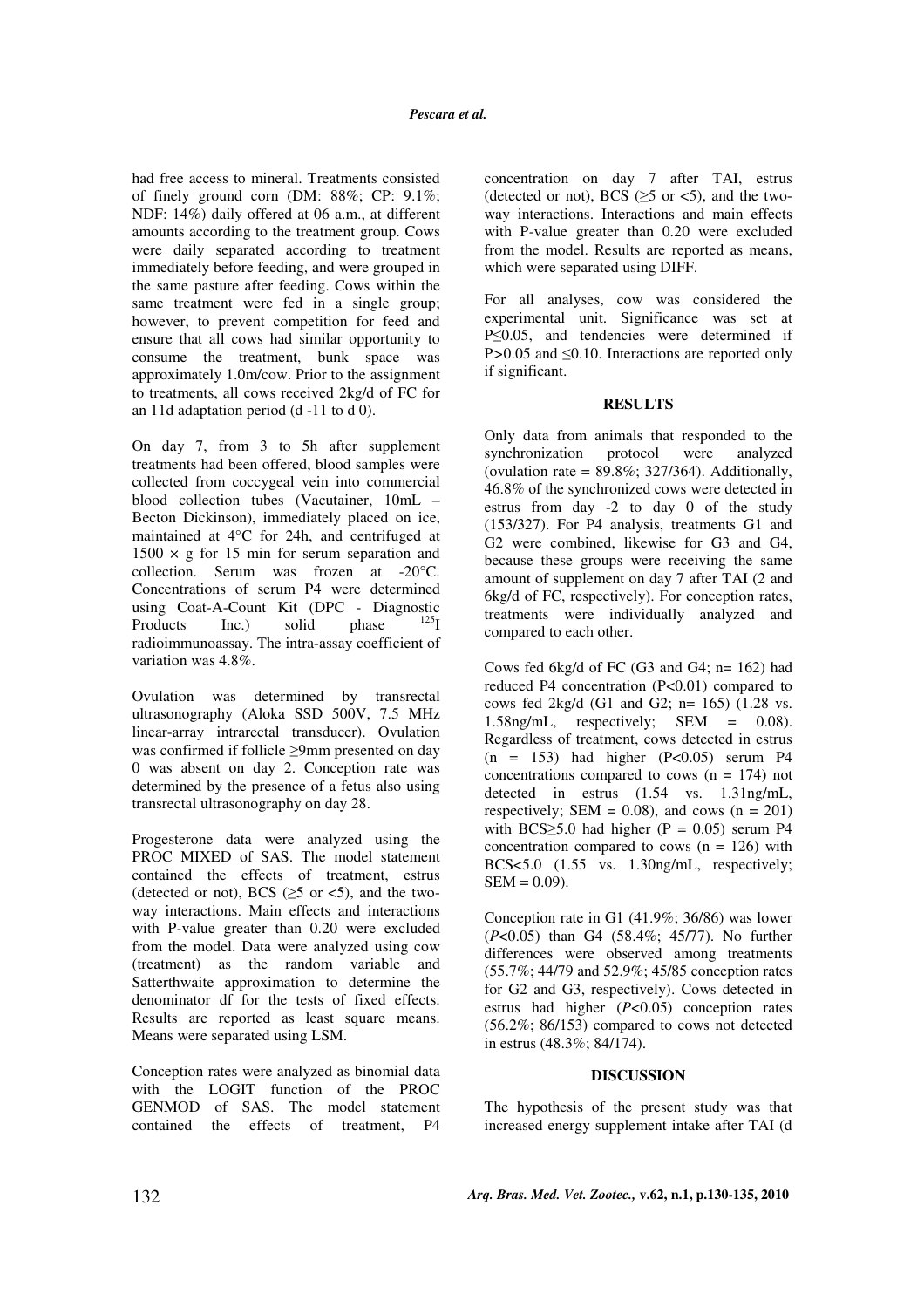had free access to mineral. Treatments consisted of finely ground corn (DM: 88%; CP: 9.1%; NDF: 14%) daily offered at 06 a.m., at different amounts according to the treatment group. Cows were daily separated according to treatment immediately before feeding, and were grouped in the same pasture after feeding. Cows within the same treatment were fed in a single group; however, to prevent competition for feed and ensure that all cows had similar opportunity to consume the treatment, bunk space was approximately 1.0m/cow. Prior to the assignment to treatments, all cows received 2kg/d of FC for an 11d adaptation period (d -11 to d 0).

On day 7, from 3 to 5h after supplement treatments had been offered, blood samples were collected from coccygeal vein into commercial blood collection tubes (Vacutainer, 10mL – Becton Dickinson), immediately placed on ice, maintained at 4°C for 24h, and centrifuged at  $1500 \times g$  for 15 min for serum separation and collection. Serum was frozen at -20°C. Concentrations of serum P4 were determined using Coat-A-Count Kit (DPC - Diagnostic Products Inc.) solid phase radioimmunoassay. The intra-assay coefficient of variation was 4.8%.

Ovulation was determined by transrectal ultrasonography (Aloka SSD 500V, 7.5 MHz linear-array intrarectal transducer). Ovulation was confirmed if follicle ≥9mm presented on day 0 was absent on day 2. Conception rate was determined by the presence of a fetus also using transrectal ultrasonography on day 28.

Progesterone data were analyzed using the PROC MIXED of SAS. The model statement contained the effects of treatment, estrus (detected or not), BCS ( $\geq$ 5 or <5), and the twoway interactions. Main effects and interactions with P*-*value greater than 0.20 were excluded from the model. Data were analyzed using cow (treatment) as the random variable and Satterthwaite approximation to determine the denominator df for the tests of fixed effects. Results are reported as least square means. Means were separated using LSM.

Conception rates were analyzed as binomial data with the LOGIT function of the PROC GENMOD of SAS. The model statement contained the effects of treatment, P4 concentration on day 7 after TAI, estrus (detected or not), BCS ( $\geq$ 5 or <5), and the twoway interactions. Interactions and main effects with P*-*value greater than 0.20 were excluded from the model. Results are reported as means, which were separated using DIFF.

For all analyses, cow was considered the experimental unit. Significance was set at P≤0.05, and tendencies were determined if P>0.05 and ≤0.10. Interactions are reported only if significant.

## **RESULTS**

Only data from animals that responded to the synchronization protocol were analyzed (ovulation rate =  $89.8\%$ : 327/364). Additionally, 46.8% of the synchronized cows were detected in estrus from day -2 to day 0 of the study (153/327). For P4 analysis, treatments G1 and G2 were combined, likewise for G3 and G4, because these groups were receiving the same amount of supplement on day 7 after TAI (2 and 6kg/d of FC, respectively). For conception rates, treatments were individually analyzed and compared to each other.

Cows fed 6kg/d of FC (G3 and G4; n= 162) had reduced P4 concentration (P<0.01) compared to cows fed 2kg/d (G1 and G2; n= 165) (1.28 vs. 1.58ng/mL, respectively; SEM =  $0.08$ ). Regardless of treatment, cows detected in estrus  $(n = 153)$  had higher  $(P<0.05)$  serum P4 concentrations compared to cows  $(n = 174)$  not detected in estrus (1.54 vs. 1.31ng/mL, respectively; SEM =  $0.08$ ), and cows (n =  $201$ ) with BCS $\geq$ 5.0 had higher (P = 0.05) serum P4 concentration compared to cows  $(n = 126)$  with BCS<5.0 (1.55 vs. 1.30ng/mL, respectively;  $SEM = 0.09$ .

Conception rate in G1 (41.9%; 36/86) was lower (*P*<0.05) than G4 (58.4%; 45/77). No further differences were observed among treatments (55.7%; 44/79 and 52.9%; 45/85 conception rates for G2 and G3, respectively). Cows detected in estrus had higher (*P*<0.05) conception rates (56.2%; 86/153) compared to cows not detected in estrus (48.3%; 84/174).

#### **DISCUSSION**

The hypothesis of the present study was that increased energy supplement intake after TAI (d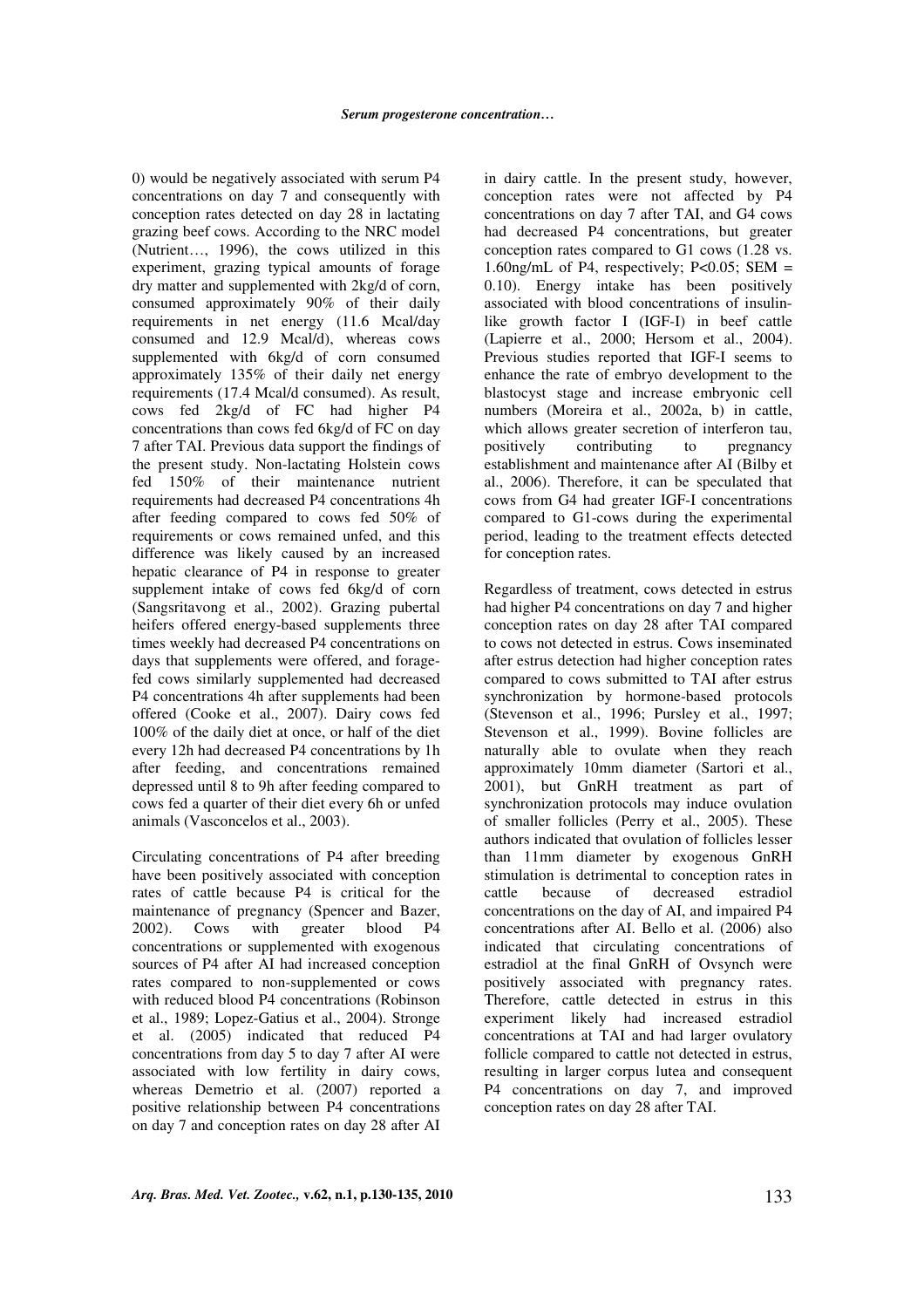0) would be negatively associated with serum P4 concentrations on day 7 and consequently with conception rates detected on day 28 in lactating grazing beef cows. According to the NRC model (Nutrient…, 1996), the cows utilized in this experiment, grazing typical amounts of forage dry matter and supplemented with 2kg/d of corn, consumed approximately 90% of their daily requirements in net energy (11.6 Mcal/day consumed and 12.9 Mcal/d), whereas cows supplemented with 6kg/d of corn consumed approximately 135% of their daily net energy requirements (17.4 Mcal/d consumed). As result, cows fed 2kg/d of FC had higher P4 concentrations than cows fed 6kg/d of FC on day 7 after TAI. Previous data support the findings of the present study. Non-lactating Holstein cows fed 150% of their maintenance nutrient requirements had decreased P4 concentrations 4h after feeding compared to cows fed 50% of requirements or cows remained unfed, and this difference was likely caused by an increased hepatic clearance of P4 in response to greater supplement intake of cows fed 6kg/d of corn (Sangsritavong et al., 2002). Grazing pubertal heifers offered energy-based supplements three times weekly had decreased P4 concentrations on days that supplements were offered, and foragefed cows similarly supplemented had decreased P4 concentrations 4h after supplements had been offered (Cooke et al., 2007). Dairy cows fed 100% of the daily diet at once, or half of the diet every 12h had decreased P4 concentrations by 1h after feeding, and concentrations remained depressed until 8 to 9h after feeding compared to cows fed a quarter of their diet every 6h or unfed animals (Vasconcelos et al., 2003).

Circulating concentrations of P4 after breeding have been positively associated with conception rates of cattle because P4 is critical for the maintenance of pregnancy (Spencer and Bazer, 2002). Cows with greater blood P4 concentrations or supplemented with exogenous sources of P4 after AI had increased conception rates compared to non-supplemented or cows with reduced blood P4 concentrations (Robinson et al., 1989; Lopez-Gatius et al., 2004). Stronge et al. (2005) indicated that reduced P4 concentrations from day 5 to day 7 after AI were associated with low fertility in dairy cows, whereas Demetrio et al. (2007) reported a positive relationship between P4 concentrations on day 7 and conception rates on day 28 after AI

in dairy cattle. In the present study, however, conception rates were not affected by P4 concentrations on day 7 after TAI, and G4 cows had decreased P4 concentrations, but greater conception rates compared to G1 cows (1.28 vs. 1.60ng/mL of P4, respectively; P<0.05; SEM = 0.10). Energy intake has been positively associated with blood concentrations of insulinlike growth factor I (IGF-I) in beef cattle (Lapierre et al., 2000; Hersom et al., 2004). Previous studies reported that IGF-I seems to enhance the rate of embryo development to the blastocyst stage and increase embryonic cell numbers (Moreira et al., 2002a, b) in cattle, which allows greater secretion of interferon tau,<br>positively contributing to pregnancy positively contributing to establishment and maintenance after AI (Bilby et al., 2006). Therefore, it can be speculated that cows from G4 had greater IGF-I concentrations compared to G1-cows during the experimental period, leading to the treatment effects detected for conception rates.

Regardless of treatment, cows detected in estrus had higher P4 concentrations on day 7 and higher conception rates on day 28 after TAI compared to cows not detected in estrus. Cows inseminated after estrus detection had higher conception rates compared to cows submitted to TAI after estrus synchronization by hormone-based protocols (Stevenson et al., 1996; Pursley et al., 1997; Stevenson et al., 1999). Bovine follicles are naturally able to ovulate when they reach approximately 10mm diameter (Sartori et al., 2001), but GnRH treatment as part of synchronization protocols may induce ovulation of smaller follicles (Perry et al., 2005). These authors indicated that ovulation of follicles lesser than 11mm diameter by exogenous GnRH stimulation is detrimental to conception rates in cattle because of decreased estradiol concentrations on the day of AI, and impaired P4 concentrations after AI. Bello et al. (2006) also indicated that circulating concentrations of estradiol at the final GnRH of Ovsynch were positively associated with pregnancy rates. Therefore, cattle detected in estrus in this experiment likely had increased estradiol concentrations at TAI and had larger ovulatory follicle compared to cattle not detected in estrus, resulting in larger corpus lutea and consequent P4 concentrations on day 7, and improved conception rates on day 28 after TAI.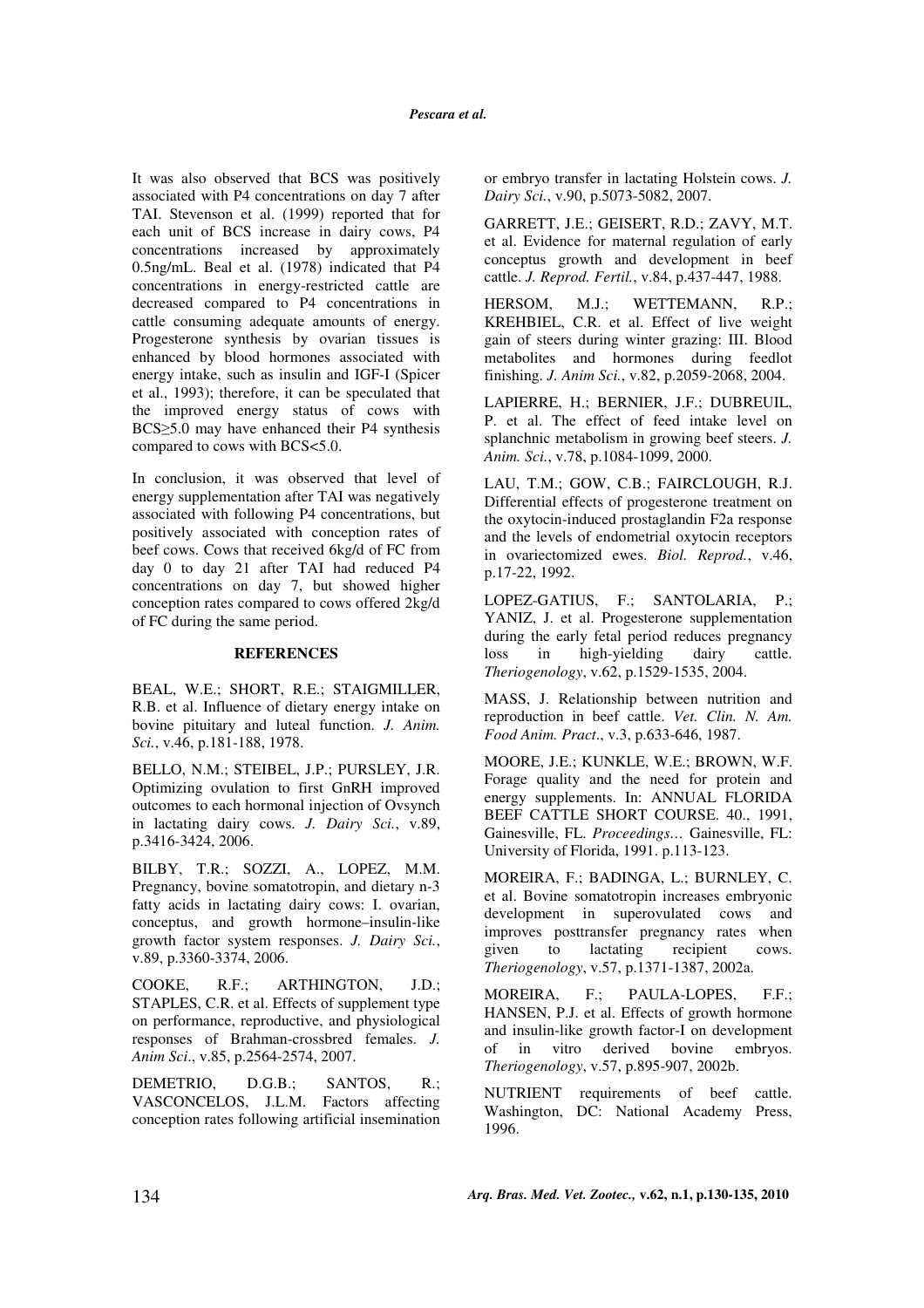It was also observed that BCS was positively associated with P4 concentrations on day 7 after TAI. Stevenson et al. (1999) reported that for each unit of BCS increase in dairy cows, P4 concentrations increased by approximately 0.5ng/mL. Beal et al. (1978) indicated that P4 concentrations in energy-restricted cattle are decreased compared to P4 concentrations in cattle consuming adequate amounts of energy. Progesterone synthesis by ovarian tissues is enhanced by blood hormones associated with energy intake, such as insulin and IGF-I (Spicer et al., 1993); therefore, it can be speculated that the improved energy status of cows with BCS≥5.0 may have enhanced their P4 synthesis compared to cows with BCS<5.0.

In conclusion, it was observed that level of energy supplementation after TAI was negatively associated with following P4 concentrations, but positively associated with conception rates of beef cows. Cows that received 6kg/d of FC from day 0 to day 21 after TAI had reduced P4 concentrations on day 7, but showed higher conception rates compared to cows offered 2kg/d of FC during the same period.

#### **REFERENCES**

BEAL, W.E.; SHORT, R.E.; STAIGMILLER, R.B. et al. Influence of dietary energy intake on bovine pituitary and luteal function. *J. Anim. Sci.*, v.46, p.181-188, 1978.

BELLO, N.M.; STEIBEL, J.P.; PURSLEY, J.R. Optimizing ovulation to first GnRH improved outcomes to each hormonal injection of Ovsynch in lactating dairy cows. *J. Dairy Sci.*, v.89, p.3416-3424, 2006.

BILBY, T.R.; SOZZI, A., LOPEZ, M.M. Pregnancy, bovine somatotropin, and dietary n-3 fatty acids in lactating dairy cows: I. ovarian, conceptus, and growth hormone–insulin-like growth factor system responses. *J. Dairy Sci.*, v.89, p.3360-3374, 2006.

COOKE, R.F.; ARTHINGTON, J.D.; STAPLES, C.R. et al. Effects of supplement type on performance, reproductive, and physiological responses of Brahman-crossbred females. *J. Anim Sci*., v.85, p.2564-2574, 2007.

DEMETRIO, D.G.B.; SANTOS, R.; VASCONCELOS, J.L.M. Factors affecting conception rates following artificial insemination or embryo transfer in lactating Holstein cows. *J. Dairy Sci.*, v.90, p.5073-5082, 2007.

GARRETT, J.E.; GEISERT, R.D.; ZAVY, M.T. et al. Evidence for maternal regulation of early conceptus growth and development in beef cattle. *J. Reprod. Fertil.*, v.84, p.437-447, 1988.

HERSOM, M.J.; WETTEMANN, R.P.; KREHBIEL, C.R. et al. Effect of live weight gain of steers during winter grazing: III. Blood metabolites and hormones during feedlot finishing. *J. Anim Sci.*, v.82, p.2059-2068, 2004.

LAPIERRE, H.; BERNIER, J.F.; DUBREUIL, P. et al. The effect of feed intake level on splanchnic metabolism in growing beef steers. *J. Anim. Sci.*, v.78, p.1084-1099, 2000.

LAU, T.M.; GOW, C.B.; FAIRCLOUGH, R.J. Differential effects of progesterone treatment on the oxytocin-induced prostaglandin F2a response and the levels of endometrial oxytocin receptors in ovariectomized ewes. *Biol. Reprod.*, v.46, p.17-22, 1992.

LOPEZ-GATIUS, F.; SANTOLARIA, P.; YANIZ, J. et al. Progesterone supplementation during the early fetal period reduces pregnancy loss in high-yielding dairy cattle. *Theriogenology*, v.62, p.1529-1535, 2004.

MASS, J. Relationship between nutrition and reproduction in beef cattle. *Vet. Clin. N. Am. Food Anim. Pract*., v.3, p.633-646, 1987.

MOORE, J.E.; KUNKLE, W.E.; BROWN, W.F. Forage quality and the need for protein and energy supplements. In: ANNUAL FLORIDA BEEF CATTLE SHORT COURSE. 40., 1991, Gainesville, FL. *Proceedings…* Gainesville, FL: University of Florida, 1991. p.113-123.

MOREIRA, F.; BADINGA, L.; BURNLEY, C. et al. Bovine somatotropin increases embryonic development in superovulated cows and improves posttransfer pregnancy rates when given to lactating recipient cows. *Theriogenology*, v.57, p.1371-1387, 2002a.

MOREIRA, F.; PAULA-LOPES, F.F.; HANSEN, P.J. et al. Effects of growth hormone and insulin-like growth factor-I on development of in vitro derived bovine embryos. *Theriogenology*, v.57, p.895-907, 2002b.

NUTRIENT requirements of beef cattle. Washington, DC: National Academy Press, 1996.